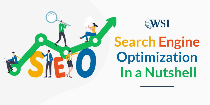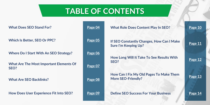# **TABLE OF CONTENTS**

| <b>What Does SEO Stand For?</b>                        | Page 04 | <b>What Role Does Content Play In SEO?</b>                                  | Page 10 |
|--------------------------------------------------------|---------|-----------------------------------------------------------------------------|---------|
| <b>Which Is Better, SEO Or PPC?</b>                    | Page 05 | If SEO Constantly Changes, How Can I Make<br><b>Sure I'm Keeping Up?</b>    | Page 11 |
| <b>Where Do I Start With An SEO Strategy?</b>          | Page 06 | How Long Will It Take To See Results With                                   |         |
| <b>What Are The Most Important Elements Of</b><br>SEO? | Page 07 | SEO?                                                                        | Page 12 |
| <b>What Are SEO Backlinks?</b>                         | Page 08 | <b>How Can I Fix My Old Pages To Make Them</b><br><b>More SEO-Friendly?</b> | Page 13 |
| <b>How Does User Experience Fit Into SEO?</b>          | Page 09 | <b>Define SEO Success For Your Business</b>                                 | Page 14 |

### **What Role Of [Page 10](#page-9-0)**

### **Iow Can I Make**

### **Results With**

### **To Make Them**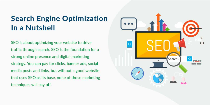# **Search Engine Optimization** In a Nutshell

SEO is about optimizing your website to drive traffic through search. SEO is the foundation for a strong online presence and digital marketing strategy. You can pay for clicks, banner ads, social media posts and links, but without a good website that uses SEO as its base, none of those marketing techniques will pay off.

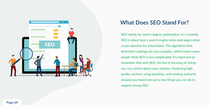<span id="page-3-0"></span>

## **What Does SEO Stand For?**

SEO stands for search engine optimization. In a nutshell, SEO is about how a search engine ranks web pages when determine rankings are very complex, which makes many people think SEO is too complicated. It's important to remember that with SEO, the key is focusing on things quality content, using backlinks, and creating authority

a user searches for information. The algorithms that you can control about your website. Producing higharound your brand are just a few things you can do to support strong SEO.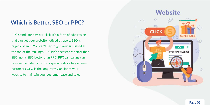## <span id="page-4-0"></span>**Which is Better, SEO or PPC?**

PPC stands for pay-per-click. It's a form of advertising that can get your website noticed by users. SEO is organic search. You can't pay to get your site listed at the top of the rankings. PPC isn't necessarily better than SEO, nor is SEO better than PPC. PPC campaigns can drive immediate traffic for a special sale or to gain new customers. SEO is the long-term viability of your website to maintain your customer base and sales

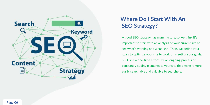<span id="page-5-0"></span>

## **Where Do I Start With An SEO Strategy?**

A good SEO strategy has many factors, so we think it's important to start with an analysis of your current site to see what's working and what isn't. Then, we define your goals to optimize your site to work on meeting your goals. SEO isn't a one-time effort. It's an ongoing process of constantly adding elements to your site that make it more easily searchable and valuable to searchers.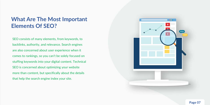## <span id="page-6-0"></span>**What Are The Most Important Elements Of SEO?**

SEO consists of many elements, from keywords, to backlinks, authority, and relevance. Search engines are also concerned about user experience when it comes to rankings, so you can't be solely focused on stuffing keywords into your digital content. Technical SEO is concerned about optimizing your website more than content, but specifically about the details that help the search engine index your site.

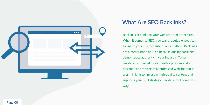<span id="page-7-0"></span>

## **What Are SEO Backlinks?**

- Backlinks are links to your website from other sites.
- When it comes to SEO, you want reputable websites
- to link to your site, because quality matters. Backlinks
- are a cornerstone of SEO, because quality backlinks
	-
	-
- designed and strategically optimized website that is
- worth linking to. Invest in high-quality content that
- supports your SEO strategy. Backlinks will come your

demonstrate authority in your industry. To gain backlinks, you need to start with a professionally way.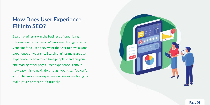## <span id="page-8-0"></span>**How Does User Experience Fit Into SEO?**

Search engines are in the business of organizing information for its users. When a search engine ranks your site for a user, they want the user to have a good experience on your site. Search engines measure user experience by how much time people spend on your site reading other pages. User experience is about how easy it is to navigate through your site. You can't afford to ignore user experience when you're trying to make your site more SEO-friendly.

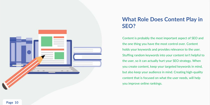<span id="page-9-0"></span>

## **What Role Does Content Play in SEO?**

Content is probably the most important aspect of SEO and the one thing you have the most control over. Content holds your keywords and provides relevance to the user. Stuffing random keywords into your content isn't helpful to the user, so it can actually hurt your SEO strategy. When you create content, keep your targeted keywords in mind, but also keep your audience in mind. Creating high-quality content that is focused on what the user needs, will help you improve online rankings.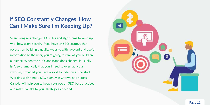Search engines change SEO rules and algorithms to keep up with how users search. If you have an SEO strategy that focuses on building a quality website with relevant and useful information to the user, you're going to rank as you build an audience. When the SEO landscape does change, it usually isn't so dramatically that you'll need to overhaul your website; provided you have a solid foundation at the start. Working with a good SEO agency in Ottawa and across Canada will help you to keep your eye on SEO best practices and make tweaks to your strategy as needed.



## <span id="page-10-0"></span>**If SEO Constantly Changes, How Can I Make Sure I'm Keeping Up?**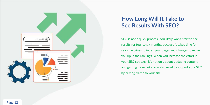<span id="page-11-0"></span>

## **How Long Will It Take to See Results With SEO?**

SEO is not a quick process. You likely won't start to see results for four to six months, because it takes time for search engines to index your pages and changes to move you up in the rankings. When you increase the effort in your SEO strategy, it's not only about updating content and getting more links. You also need to support your SEO by driving traffic to your site.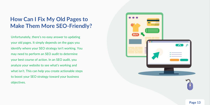## <span id="page-12-0"></span>**How Can I Fix My Old Pages to Make Them More SEO-Friendly?**

Unfortunately, there's no easy answer to updating your old pages. It simply depends on the gaps you identify where your SEO strategy isn't working. You may need to perform an SEO audit to determine your best course of action. In an SEO audit, you analyze your website to see what's working and what isn't. This can help you create actionable steps to boost your SEO strategy toward your business objectives.





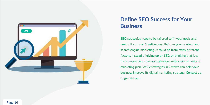<span id="page-13-0"></span>

## **Define SEO Success for Your Business**

SEO strategies need to be tailored to fit your goals and needs. If you aren't getting results from your content and search engine marketing, it could be from many different factors. Instead of giving up on SEO or thinking that it is too complex, improve your strategy with a robust content marketing plan. WSI eStrategies in Ottawa can help your business improve its digital marketing strategy. Contact us to get started.